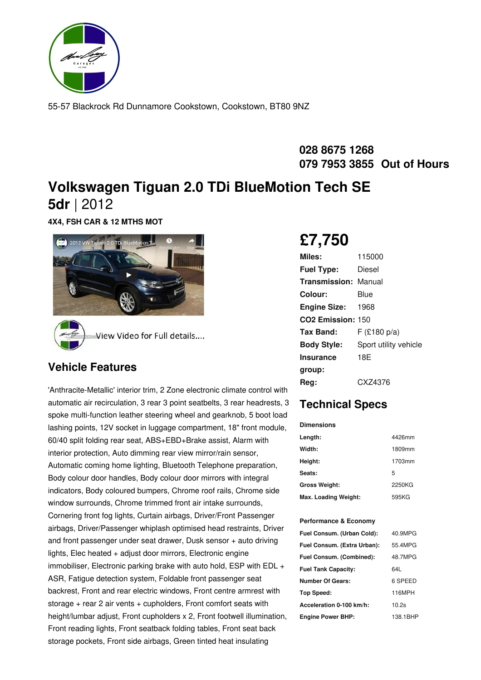

55-57 Blackrock Rd Dunnamore Cookstown, Cookstown, BT80 9NZ

#### **028 8675 1268 079 7953 3855 Out of Hours**

## **Volkswagen Tiguan 2.0 TDi BlueMotion Tech SE 5dr** |2012

**4X4, FSH CAR & 12 MTHS MOT**



#### **Vehicle Features**

'Anthracite-Metallic' interior trim, 2 Zone electronic climate control with automatic air recirculation, 3 rear 3 point seatbelts, 3 rear headrests, 3 spoke multi-function leather steering wheel and gearknob, 5 boot load lashing points, 12V socket in luggage compartment, 18" front module, 60/40 split folding rear seat, ABS+EBD+Brake assist, Alarm with interior protection, Auto dimming rear view mirror/rain sensor, Automatic coming home lighting, Bluetooth Telephone preparation, Body colour door handles, Body colour door mirrors with integral indicators, Body coloured bumpers, Chrome roof rails, Chrome side window surrounds, Chrome trimmed front air intake surrounds, Cornering front fog lights, Curtain airbags, Driver/Front Passenger airbags, Driver/Passenger whiplash optimised head restraints, Driver and front passenger under seat drawer, Dusk sensor + auto driving lights, Elec heated + adjust door mirrors, Electronic engine immobiliser, Electronic parking brake with auto hold, ESP with EDL + ASR, Fatigue detection system, Foldable front passenger seat backrest, Front and rear electric windows, Front centre armrest with storage + rear 2 air vents + cupholders, Front comfort seats with height/lumbar adjust, Front cupholders x 2, Front footwell illumination, Front reading lights, Front seatback folding tables, Front seat back storage pockets, Front side airbags, Green tinted heat insulating

# **£7,750**

| Miles:                        | 115000                |
|-------------------------------|-----------------------|
| <b>Fuel Type:</b>             | Diesel                |
| <b>Transmission: Manual</b>   |                       |
| Colour:                       | Blue                  |
| <b>Engine Size: 1968</b>      |                       |
| CO <sub>2</sub> Emission: 150 |                       |
| Tax Band:                     | $F$ (£180 p/a)        |
| <b>Body Style:</b>            | Sport utility vehicle |
| <b>Insurance</b>              | 18E                   |
| group:                        |                       |
| Reg:                          | CXZ4376               |

### **Technical Specs**

# **Dimensions**

| Length:              | 4426mm |
|----------------------|--------|
| Width:               | 1809mm |
| Height:              | 1703mm |
| Seats:               | 5      |
| <b>Gross Weight:</b> | 2250KG |
| Max. Loading Weight: | 595KG  |

#### **Performance & Economy**

| Fuel Consum. (Urban Cold):  | 40.9MPG  |
|-----------------------------|----------|
| Fuel Consum. (Extra Urban): | 55.4MPG  |
| Fuel Consum. (Combined):    | 48.7MPG  |
| <b>Fuel Tank Capacity:</b>  | 64L      |
| <b>Number Of Gears:</b>     | 6 SPEED  |
| Top Speed:                  | 116MPH   |
| Acceleration 0-100 km/h:    | 10.2s    |
| <b>Engine Power BHP:</b>    | 138.1BHP |